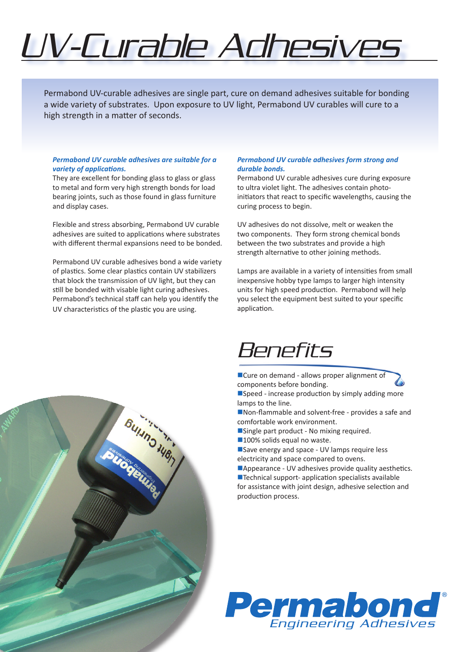# UV-Curable Adhesives

Permabond UV-curable adhesives are single part, cure on demand adhesives suitable for bonding a wide variety of substrates. Upon exposure to UV light, Permabond UV curables will cure to a high strength in a matter of seconds.

#### *Permabond UV curable adhesives are suitable for a variety of applications.*

They are excellent for bonding glass to glass or glass to metal and form very high strength bonds for load bearing joints, such as those found in glass furniture and display cases.

Flexible and stress absorbing, Permabond UV curable adhesives are suited to applications where substrates with different thermal expansions need to be bonded.

Permabond UV curable adhesives bond a wide variety of plastics. Some clear plastics contain UV stabilizers that block the transmission of UV light, but they can still be bonded with visable light curing adhesives. Permabond's technical staff can help you identify the UV characteristics of the plastic you are using.

### *Permabond UV curable adhesives form strong and durable bonds.*

Permabond UV curable adhesives cure during exposure to ultra violet light. The adhesives contain photoinitiators that react to specific wavelengths, causing the curing process to begin.

UV adhesives do not dissolve, melt or weaken the two components. They form strong chemical bonds between the two substrates and provide a high strength alternative to other joining methods.

Lamps are available in a variety of intensities from small inexpensive hobby type lamps to larger high intensity units for high speed production. Permabond will help you select the equipment best suited to your specific application.

## Benefits

■Cure on demand - allows proper alignment of components before bonding.

 $\square$  Speed - increase production by simply adding more lamps to the line.

- $\blacksquare$  Non-flammable and solvent-free provides a safe and comfortable work environment.
- Single part product No mixing required.
- ■100% solids equal no waste.
- Save energy and space UV lamps require less electricity and space compared to ovens.

■Appearance - UV adhesives provide quality aesthetics.  $\blacksquare$  Technical support- application specialists available for assistance with joint design, adhesive selection and production process.